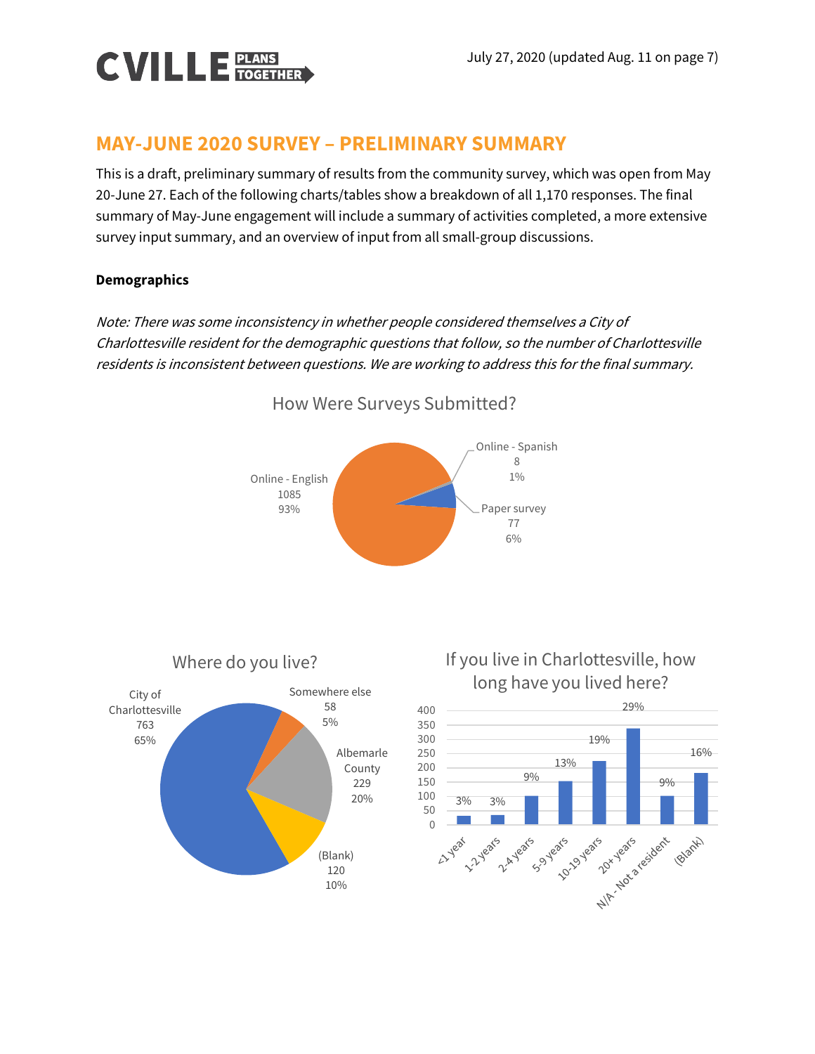

# **MAY-JUNE 2020 SURVEY – PRELIMINARY SUMMARY**

This is a draft, preliminary summary of results from the community survey, which was open from May 20-June 27. Each of the following charts/tables show a breakdown of all 1,170 responses. The final summary of May-June engagement will include a summary of activities completed, a more extensive survey input summary, and an overview of input from all small-group discussions.

#### **Demographics**

Note: There was some inconsistency in whether people considered themselves a City of Charlottesville resident for the demographic questions that follow, so the number of Charlottesville residents is inconsistent between questions. We are working to address this for the final summary.



#### How Were Surveys Submitted?



## If you live in Charlottesville, how long have you lived here?

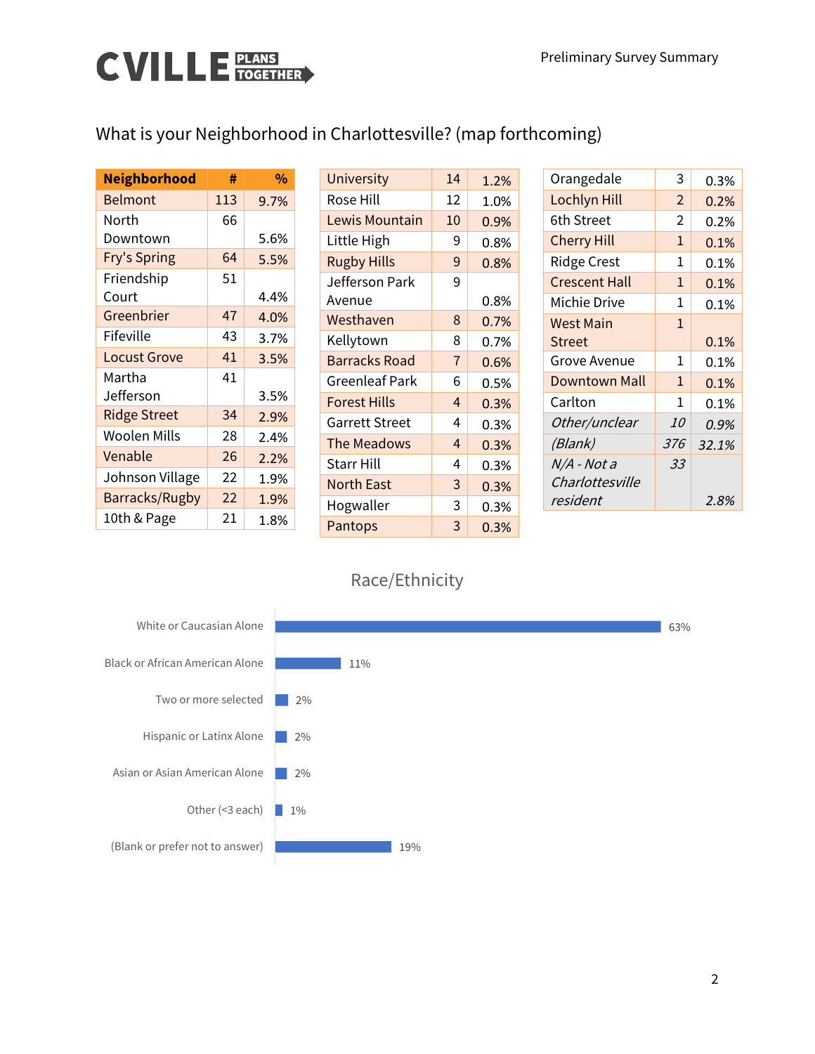# **CVILLE** FILANS

What is your Neighborhood in Charlottesville? (map forthcoming)

| <b>Neighborhood</b> | #   | %    |
|---------------------|-----|------|
| Belmont             | 113 | 9.7% |
| North               | 66  |      |
| Downtown            |     | 5.6% |
| <b>Fry's Spring</b> | 64  | 5.5% |
| Friendship          | 51  |      |
| Court               |     | 4.4% |
| Greenbrier          | 47  | 4.0% |
| Fifeville           | 43  | 3.7% |
| Locust Grove        | 41  | 3.5% |
| Martha              | 41  |      |
| Jefferson           |     | 3.5% |
| <b>Ridge Street</b> | 34  | 2.9% |
| Woolen Mills        | 28  | 2.4% |
| Venable             | 26  | 2.2% |
| Johnson Village     | 22  | 1.9% |
| Barracks/Rugby      | 22  | 1.9% |
| 10th & Page         | 21  | 1.8% |

| <b>University</b>     | 14             | 1.2%    |
|-----------------------|----------------|---------|
| Rose Hill             | 12             | 1.0%    |
| Lewis Mountain        | 10             | 0.9%    |
| Little High           | 9              | 0.8%    |
| <b>Rugby Hills</b>    | 9              | 0.8%    |
| Jefferson Park        | 9              |         |
| Avenue                |                | 0.8%    |
| Westhaven             | 8              | 0.7%    |
| Kellytown             | 8              | 0.7%    |
| Barracks Road         | $\overline{7}$ | 0.6%    |
| Greenleaf Park        | 6              | 0.5%    |
| Forest Hills          | 4              | 0.3%    |
| <b>Garrett Street</b> | 4              | 0.3%    |
| The Meadows           | 4              | 0.3%    |
| <b>Starr Hill</b>     | 4              | $0.3\%$ |
| North East            | 3              | 0.3%    |
| Hogwaller             | 3              | 0.3%    |
| Pantops               | 3              | 0.3%    |

| Orangedale           | 3              | 0.3%  |
|----------------------|----------------|-------|
| Lochlyn Hill         | $\overline{2}$ | 0.2%  |
| 6th Street           | 2              | 0.2%  |
| <b>Cherry Hill</b>   | 1              | 0.1%  |
| <b>Ridge Crest</b>   | 1              | 0.1%  |
| <b>Crescent Hall</b> | 1              | 0.1%  |
| Michie Drive         | 1              | 0.1%  |
| <b>West Main</b>     | 1              |       |
| <b>Street</b>        |                | 0.1%  |
| Grove Avenue         | 1              | 0.1%  |
| Downtown Mall        | 1              | 0.1%  |
| Carlton              | 1              | 0.1%  |
| Other/unclear        | 10             | 0.9%  |
| (Blank)              | 376            | 32.1% |
| N/A - Not a          | 33             |       |
| Charlottesville      |                |       |
| resident             |                | 2.8%  |
|                      |                |       |

# Race/Ethnicity

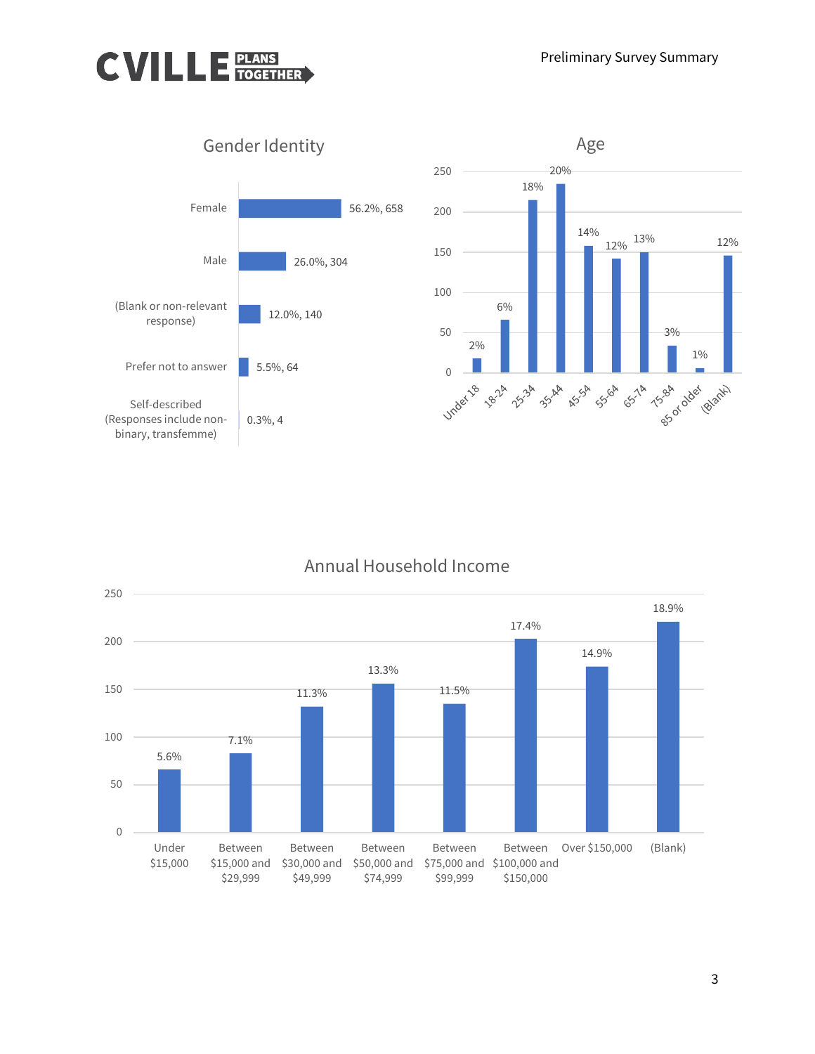



### Annual Household Income

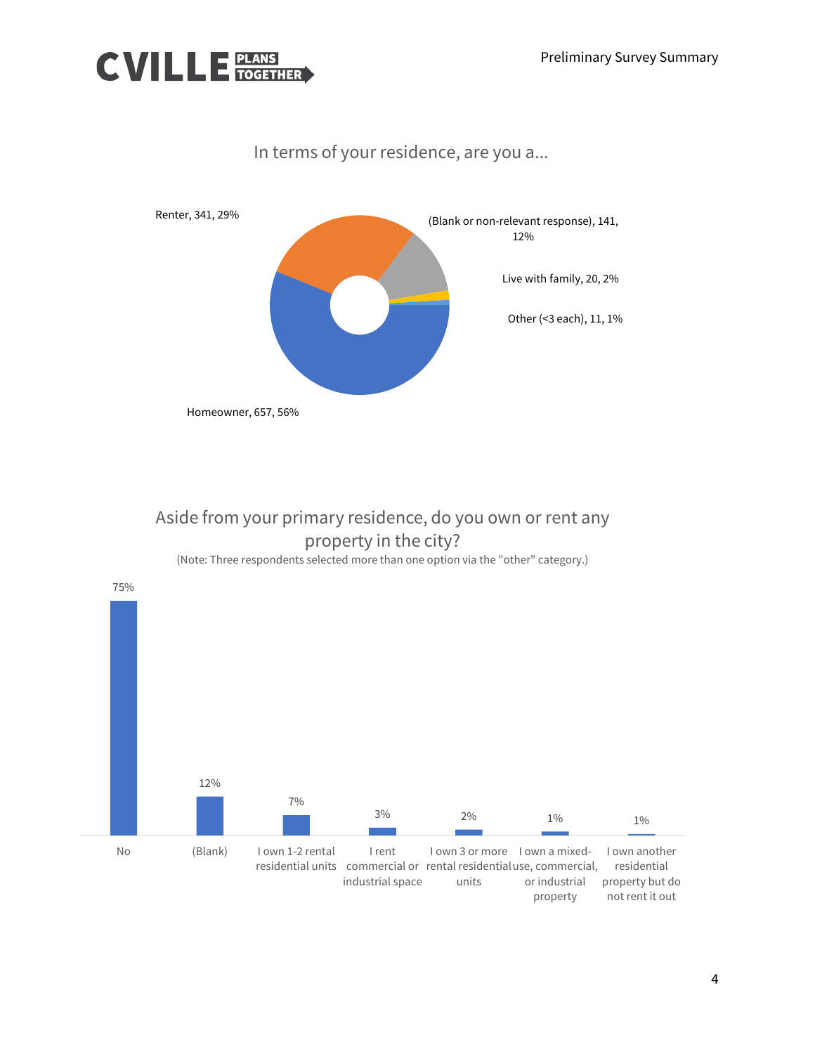



Aside from your primary residence, do you own or rent any property in the city?

(Note: Three respondents selected more than one option via the "other" category.)



### In terms of your residence, are you a...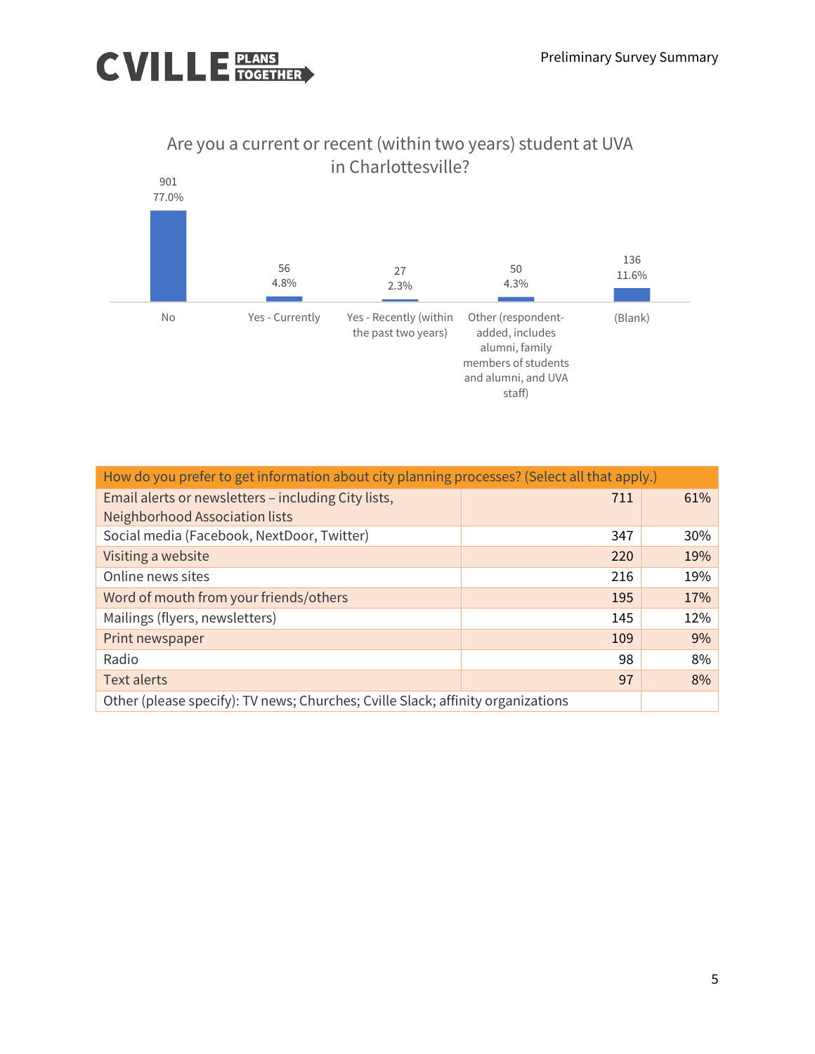



## Are you a current or recent (within two years) student at UVA in Charlottesville?

| How do you prefer to get information about city planning processes? (Select all that apply.) |     |     |  |  |
|----------------------------------------------------------------------------------------------|-----|-----|--|--|
| Email alerts or newsletters - including City lists,                                          | 711 | 61% |  |  |
| Neighborhood Association lists                                                               |     |     |  |  |
| Social media (Facebook, NextDoor, Twitter)                                                   | 347 | 30% |  |  |
| Visiting a website                                                                           | 220 | 19% |  |  |
| Online news sites                                                                            | 216 | 19% |  |  |
| Word of mouth from your friends/others                                                       | 195 | 17% |  |  |
| Mailings (flyers, newsletters)                                                               | 145 | 12% |  |  |
| Print newspaper                                                                              | 109 | 9%  |  |  |
| Radio                                                                                        | 98  | 8%  |  |  |
| Text alerts                                                                                  | 97  | 8%  |  |  |
| Other (please specify): TV news; Churches; Cville Slack; affinity organizations              |     |     |  |  |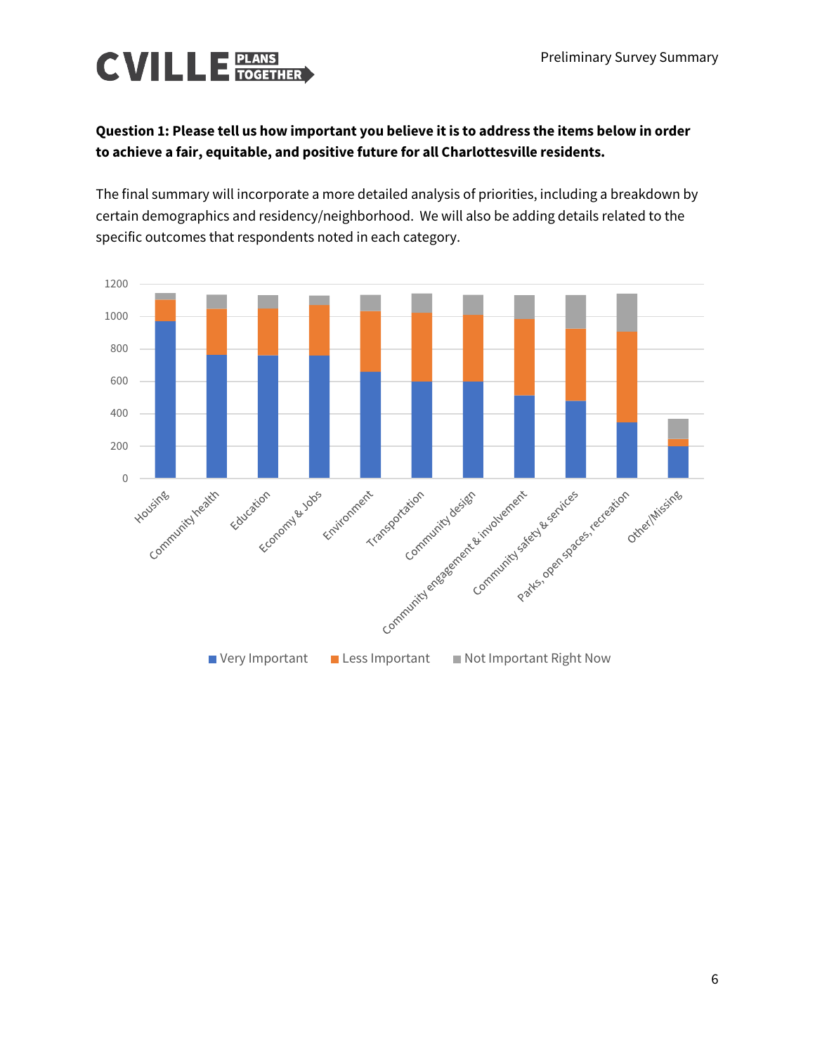# **CVILLE** PLANS

#### **Question 1: Please tell us how important you believe it is to address the items below in order to achieve a fair, equitable, and positive future for all Charlottesville residents.**

The final summary will incorporate a more detailed analysis of priorities, including a breakdown by certain demographics and residency/neighborhood. We will also be adding details related to the specific outcomes that respondents noted in each category.